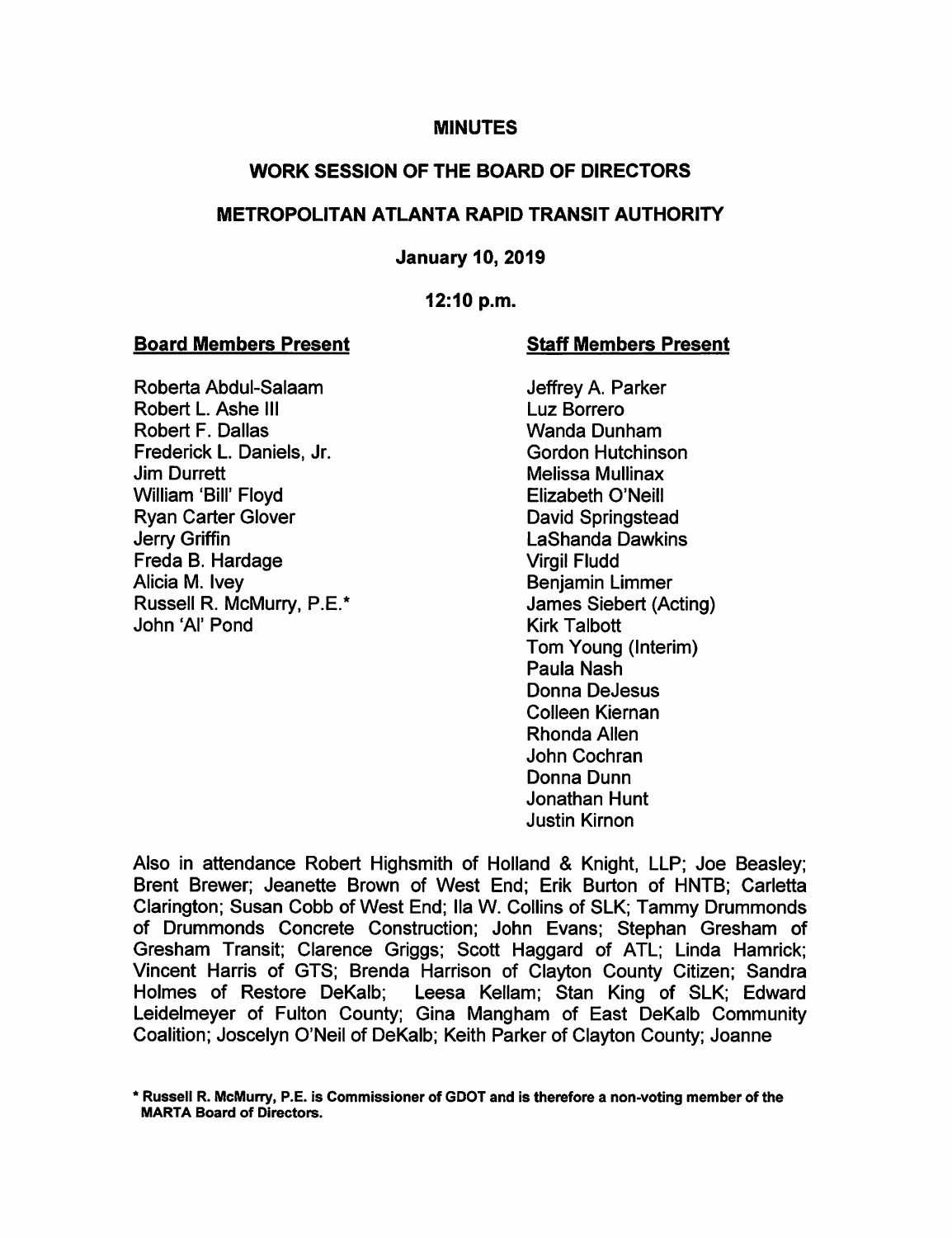### **MINUTES**

## WORK SESSION OF THE BOARD OF DIRECTORS

## METROPOLITAN ATLANTA RAPID TRANSIT AUTHORITY

### January 10, 2019

#### 12:10 p.m.

#### Board Members Present Staff Members Present

Roberta Abdul-Salaam Jeffrey A. Parker Robert L. Ashe III Luz Borrero<br>Robert F. Dallas **Communist Control** Communist Communist Communist Communist Communist Communist Communist Comm<br>Communist Communist Communist Communist Communist Communist Communist Communist Robert F. Dallas Frederick L. Daniels, Jr. Gordon Hutchinson **Jim Durrett** Melissa Mullinax William 'Bill' Floyd Elizabeth O'Neill Ryan Carter Glover **David Springstead** Jerry Griffin LaShanda Dawkins Freda B. Hardage Virgil Fludd Alicia M. Ivey **Benjamin** Limmer Russell R. McMurry, P.E.\* James Siebert (Acting) John 'Al' Pond Kirk Talbott

Tom Young (Interim) Paula Nash Donna DeJesus Colleen Kiernan Rhonda Allen John Cochran Donna Dunn Jonathan Hunt Justin Kirnon

Also in attendance Robert Highsmith of Holland & Knight, LLP; Joe Beasley; Brent Brewer; Jeanette Brown of West End; Erik Burton of HNTB; Carletta Clarington; Susan Cobb of West End; Ha W. Collins of SLK; Tammy Drummonds of Drummonds Concrete Construction; John Evans; Stephan Gresham of Gresham Transit; Clarence Griggs; Scott Haggard of ATL; Linda Hamrick; Vincent Harris of GTS; Brenda Harrison of Clayton County Citizen; Sandra Holmes of Restore DeKalb; Leesa Kellam; Stan King of SLK; Edward Leidelmeyer of Fulton County; Gina Mangham of East DeKalb Community Coalition; Joscelyn O'Neil of DeKalb; Keith Parker of Clayton County; Joanne

Russell R. McMurry, P.E. is Commissioner of GDOT and is therefore a non-voting member of the MARTA Board of Directors.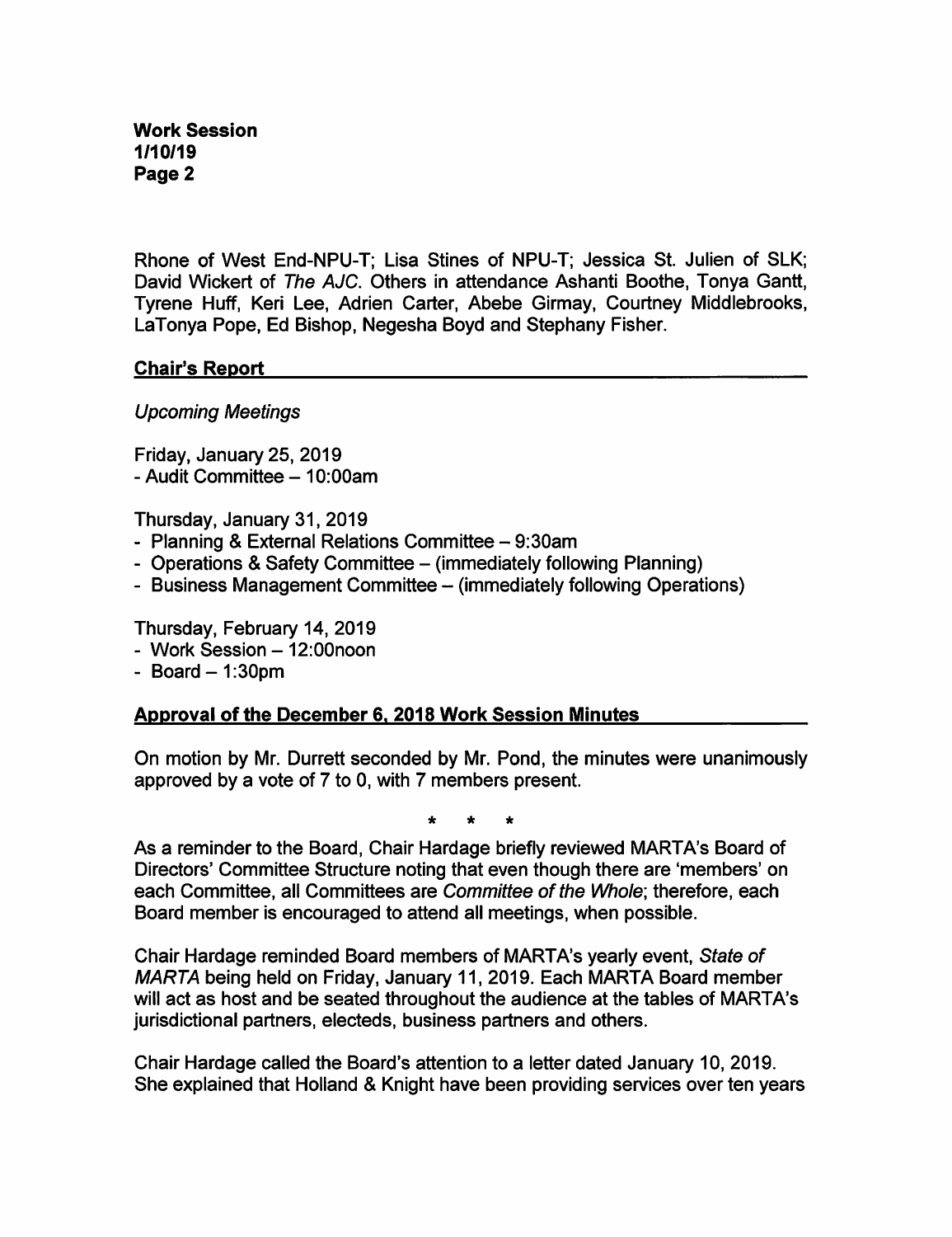Rhone of West End-NPU-T; Lisa Stines of NPU-T; Jessica St. Julien of SLK; David Wickert of The AJC. Others in attendance Ashanti Boothe, Tonya Gantt, Tyrene Huff, Keri Lee, Adrien Carter, Abebe Girmay, Courtney Middlebrooks, LaTonya Pope, Ed Bishop, Negesha Boyd and Stephany Fisher.

### Chair's Report

Upcoming Meetings

Friday, January 25, 2019 - Audit Committee - 10:00am

Thursday, January 31, 2019

- Planning & External Relations Committee 9:30am
- Operations & Safety Committee (immediately following Planning)
- Business Management Committee (immediately following Operations)

Thursday, February 14, 2019

- Work Session 12:00noon
- $-$  Board  $-$  1:30pm

# Approval of the December 6. 2018 Work Session Minutes

On motion by Mr. Durrett seconded by Mr. Pond, the minutes were unanimously approved by a vote of 7 to 0, with 7 members present.

As a reminder to the Board, Chair Hardage briefly reviewed MARTA's Board of Directors' Committee Structure noting that even though there are 'members' on each Committee, all Committees are Committee of the Whole; therefore, each Board member is encouraged to attend all meetings, when possible.

Chair Hardage reminded Board members of MARTA's yearly event. State of MARTA being held on Friday, January 11, 2019. Each MARTA Board member will act as host and be seated throughout the audience at the tables of MARTA's jurisdictional partners, electeds, business partners and others.

Chair Hardage called the Board's attention to a letter dated January 10, 2019. She explained that Holland & Knight have been providing services over ten years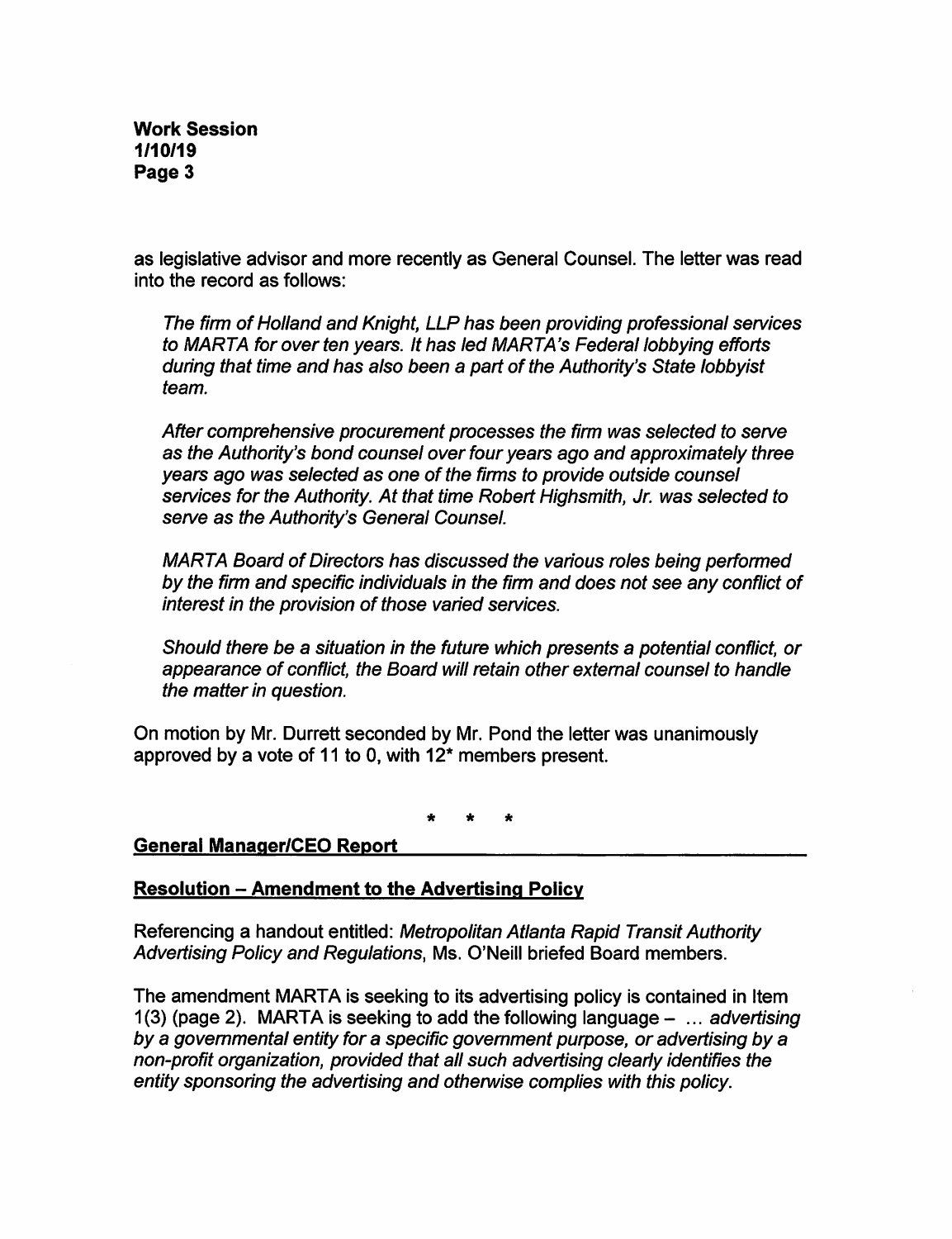as legislative advisor and more recently as General Counsel. The letter was read into the record as follows:

The firm of Holland and Knight, LLP has been providing professional services to MARTA for over ten years. It has led MARTA's Federal lobbying efforts during that time and has also been a part of the Authority's State lobbyist team.

After comprehensive procurement processes the firm was selected to serve as the Authority's bond counsel over four years ago and approximately three years ago was selected as one of the firms to provide outside counsel services for the Authority. At that time Robert Highsmith, Jr. was selected to serve as the Authority's General Counsel.

MARIA Board of Directors has discussed the various roles being performed by the firm and specific individuals in the firm and does not see any conflict of interest in the provision of those varied services.

Should there be a situation in the future which presents a potential conflict, or appearance of conflict, the Board will retain other external counsel to handle the matter in question.

On motion by Mr. Durrett seconded by Mr. Pond the letter was unanimously approved by a vote of 11 to 0, with 12\* members present.

### General Manaqer/CEO Report

### **Resolution - Amendment to the Advertising Policy**

Referencing a handout entitled: Metropolitan Atlanta Rapid Transit Authority Advertising Policy and Regulations, Ms. O'Neill briefed Board members.

The amendment MARTA is seeking to its advertising policy is contained in Item 1(3) (page 2). MARTA is seeking to add the following language  $-$  ... advertising by a govemmental entity for a specific govemment purpose, or advertising by a non-profit organization, provided that all such advertising clearly identifies the entity sponsoring the advertising and otherwise complies with this policy.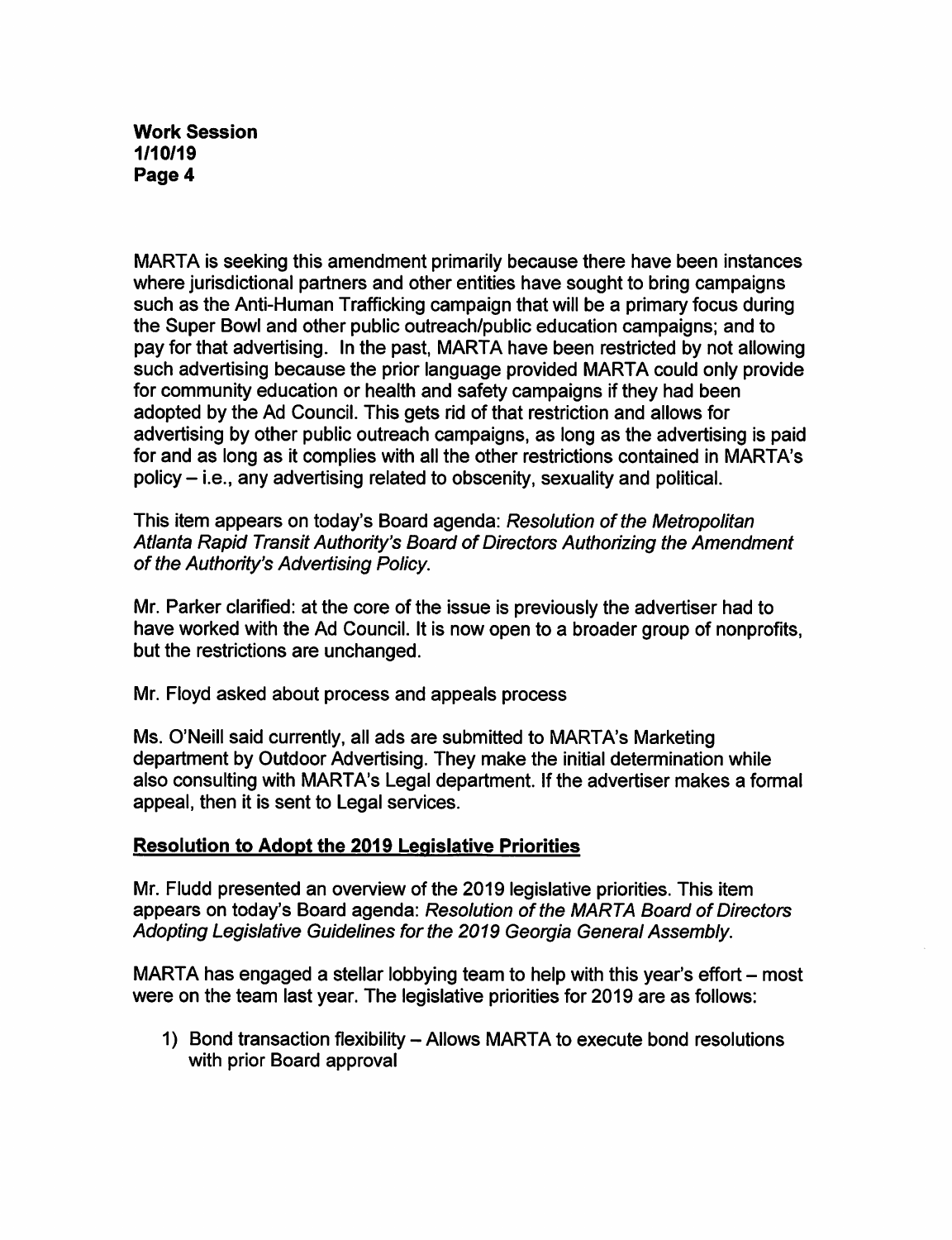MARTA is seeking this amendment primarily because there have been instances where jurisdictional partners and other entities have sought to bring campaigns such as the Anti-Human Trafficking campaign that will be a primary focus during the Super Bowl and other public outreach/public education campaigns; and to pay for that advertising. In the past, MARTA have been restricted by not allowing such advertising because the prior language provided MARTA could only provide for community education or health and safety campaigns if they had been adopted by the Ad Council. This gets rid of that restriction and allows for advertising by other public outreach campaigns, as long as the advertising is paid for and as long as it complies with all the other restrictions contained in MARTA's policy - i.e., any advertising related to obscenity, sexuality and political.

This item appears on today's Board agenda: Resolution of the Metropolitan Atlanta Rapid Transit Authority's Board of Directors Authorizing the Amendment of the Authority's Advertising Policy.

Mr. Parker clarified: at the core of the issue is previously the advertiser had to have worked with the Ad Council. It is now open to a broader group of nonprofits, but the restrictions are unchanged.

Mr. Floyd asked about process and appeals process

Ms. O'Neill said currently, all ads are submitted to MARTA's Marketing department by Outdoor Advertising. They make the initial determination while also consulting with MARTA's Legal department. If the advertiser makes a formal appeal, then it is sent to Legal services.

# Resolution to Adopt the 2019 Legislative Priorities

Mr. Fludd presented an overview of the 2019 legislative priorities. This item appears on today's Board agenda: Resolution of the MARTA Board of Directors Adopting Legislative Guidelines for the 2019 Georgia General Assembly.

MARTA has engaged a stellar lobbying team to help with this year's effort – most were on the team last year. The legislative priorities for 2019 are as follows:

1) Bond transaction flexibility – Allows MARTA to execute bond resolutions with prior Board approval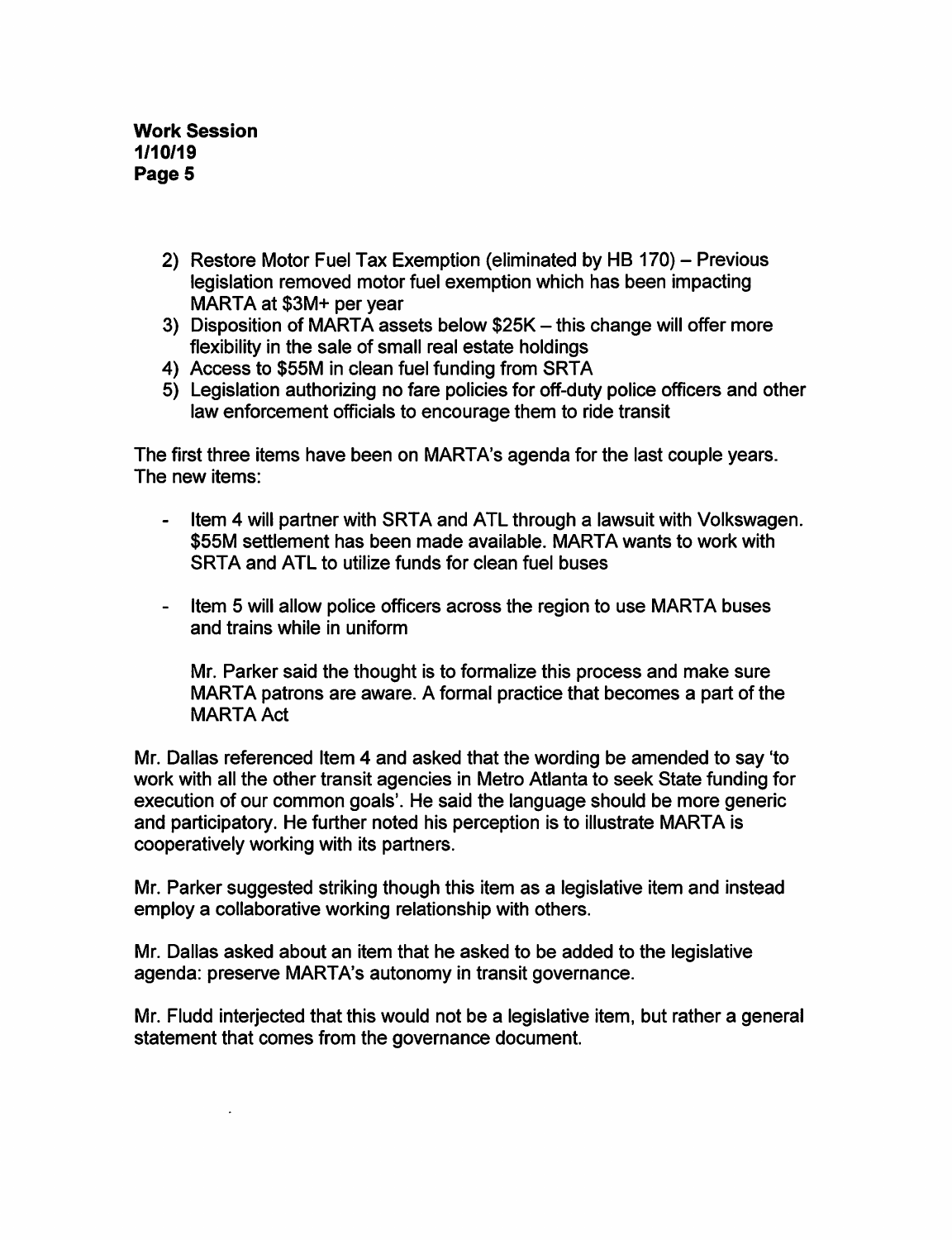- 2) Restore Motor Fuel Tax Exemption (eliminated by HB 170) Previous legislation removed motor fuel exemption which has been impacting MARTA at \$3M+ per year
- 3) Disposition of MARTA assets below \$25K this change will offer more flexibility in the sale of small real estate holdings
- 4) Access to \$55M in clean fuel funding from SRTA
- 5) Legislation authorizing no fare policies for off-duty police officers and other law enforcement officials to encourage them to ride transit

The first three items have been on MARTA's agenda for the last couple years. The new items:

- Item 4 will partner with SRTA and ATL through a lawsuit with Volkswagen. \$55M settlement has been made available. MARTA wants to work with SRTA and ATL to utilize funds for clean fuel buses
- Item 5 will allow police officers across the region to use MARTA buses and trains while in uniform

Mr. Parker said the thought is to formalize this process and make sure MARTA patrons are aware. A formal practice that becomes a part of the MARTA Act

Mr. Dallas referenced Item 4 and asked that the wording be amended to say 'to work with all the other transit agencies in Metro Atlanta to seek State funding for execution of our common goals'. He said the language should be more generic and participatory. He further noted his perception is to illustrate MARTA is cooperatively working with its partners.

Mr. Parker suggested striking though this item as a legislative item and instead employ a collaborative working relationship with others.

Mr. Dallas asked about an item that he asked to be added to the legislative agenda: preserve MARTA's autonomy in transit governance.

Mr. Fludd interjected that this would not be a legislative item, but rather a general statement that comes from the governance document.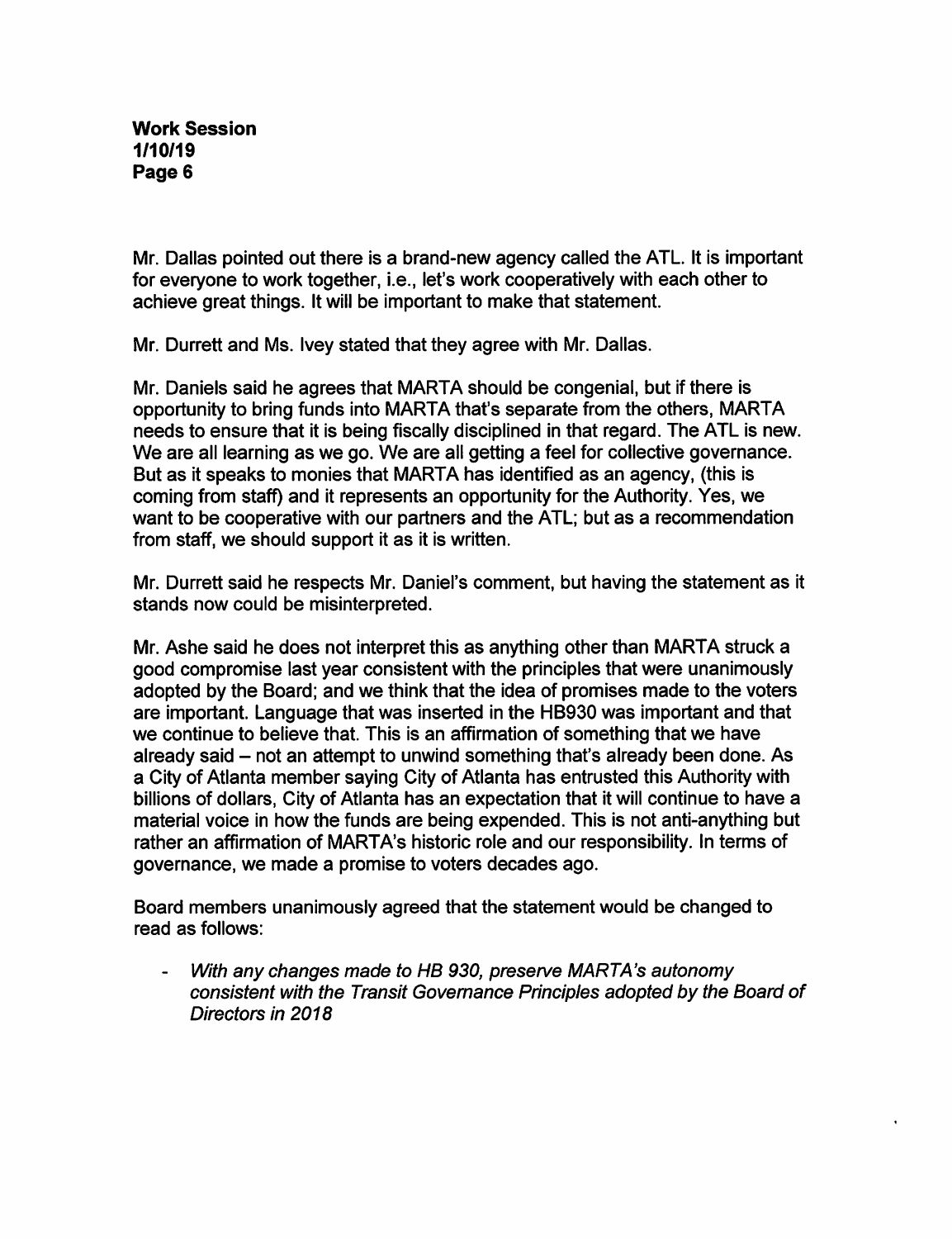Mr. Dallas pointed out there is a brand-new agency called the ATL. It is important for everyone to work together, i.e., let's work cooperatively with each other to achieve great things. It will be important to make that statement.

Mr. Durrett and Ms. Ivey stated that they agree with Mr. Dallas.

Mr. Daniels said he agrees that MARTA should be congenial, but if there is opportunity to bring funds into MARTA that's separate from the others, MARTA needs to ensure that it is being fiscally disciplined in that regard. The ATL is new. We are all learning as we go. We are all getting a feel for collective governance. But as it speaks to monies that MARTA has identified as an agency, (this is coming from staff) and it represents an opportunity for the Authority. Yes, we want to be cooperative with our partners and the ATL; but as a recommendation from staff, we should support it as it is written.

Mr. Durrett said he respects Mr. Daniel's comment, but having the statement as it stands now could be misinterpreted.

Mr. Ashe said he does not interpret this as anything other than MARTA struck a good compromise last year consistent with the principles that were unanimously adopted by the Board; and we think that the idea of promises made to the voters are important. Language that was inserted in the HB930 was important and that we continue to believe that. This is an affirmation of something that we have already said – not an attempt to unwind something that's already been done. As a City of Atlanta member saying City of Atlanta has entrusted this Authority with billions of dollars. City of Atlanta has an expectation that it will continue to have a material voice in how the funds are being expended. This is not anti-anything but rather an affirmation of MARTA's historic role and our responsibility. In terms of governance, we made a promise to voters decades ago.

Board members unanimously agreed that the statement would be changed to read as follows;

With any changes made to HB 930, preserve MARTA's autonomy consistent with the Transit Governance Principles adopted by the Board of Directors in 2018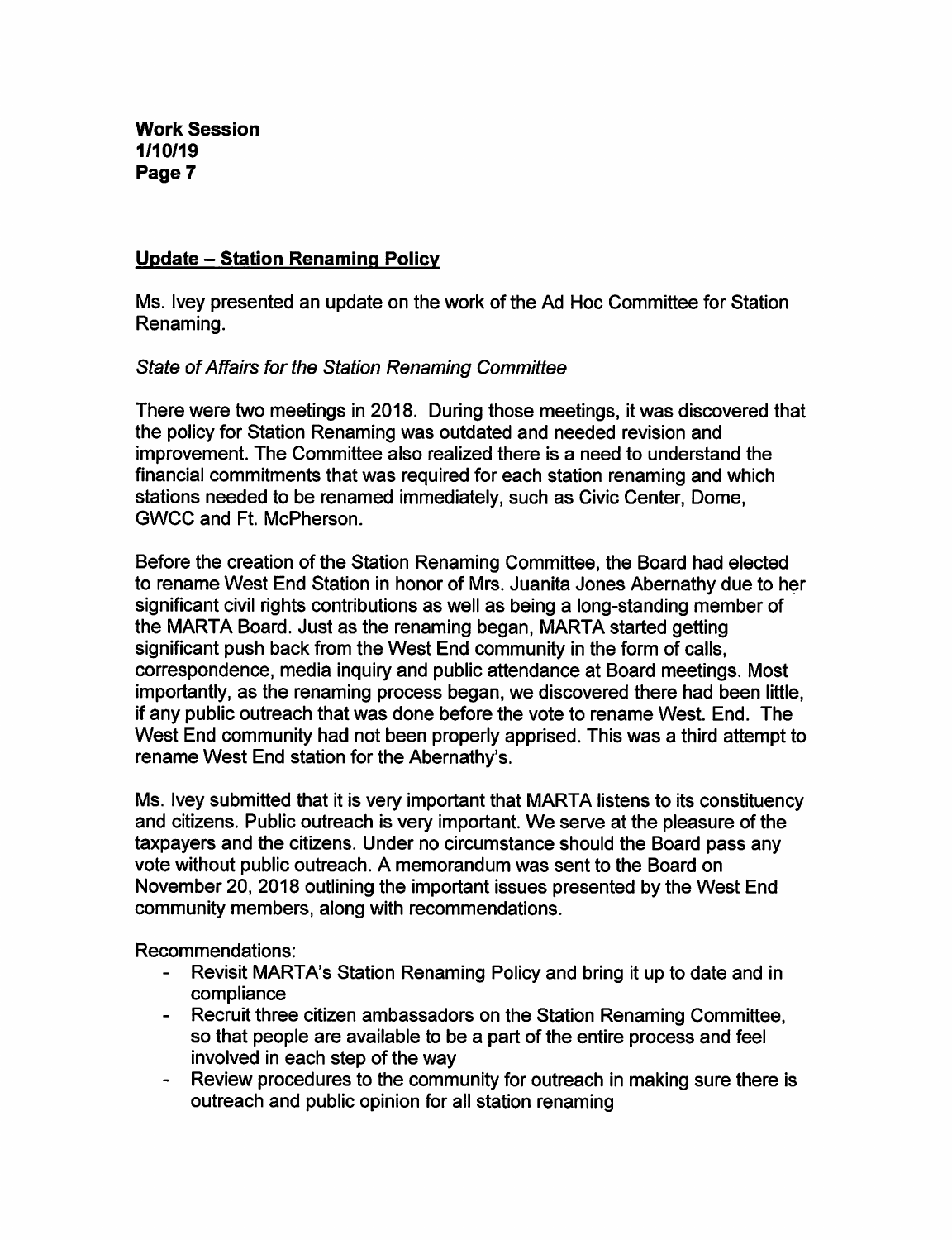# Update - Station Renaming Policy

Ms. Ivey presented an update on the work of the Ad Hoc Committee for Station Renaming.

# State of Affairs for the Station Renaming Committee

There were two meetings in 2018. During those meetings, it was discovered that the policy for Station Renaming was outdated and needed revision and improvement. The Committee also realized there is a need to understand the financial commitments that was required for each station renaming and which stations needed to be renamed immediately, such as Civic Center, Dome, GWCC and Ft. McPherson.

Before the creation of the Station Renaming Committee, the Board had elected to rename West End Station in honor of Mrs. Juanita Jones Abernathy due to her significant civil rights contributions as well as being a long-standing member of the MARTA Board. Just as the renaming began, MARTA started getting significant push back from the West End community in the form of calls, correspondence, media inquiry and public attendance at Board meetings. Most importantly, as the renaming process began, we discovered there had been little, if any public outreach that was done before the vote to rename West. End. The West End community had not been properly apprised. This was a third attempt to rename West End station for the Abernathy's.

Ms. Ivey submitted that it is very important that MARTA listens to its constituency and citizens. Public outreach is very important. We serve at the pleasure of the taxpayers and the citizens. Under no circumstance should the Board pass any vote without public outreach. A memorandum was sent to the Board on November 20, 2018 outlining the important issues presented by the West End community members, along with recommendations.

Recommendations:

- Revisit MARTA's Station Renaming Policy and bring it up to date and in compliance
- Recruit three citizen ambassadors on the Station Renaming Committee, so that people are available to be a part of the entire process and feel involved in each step of the way
- Review procedures to the community for outreach in making sure there is outreach and public opinion for all station renaming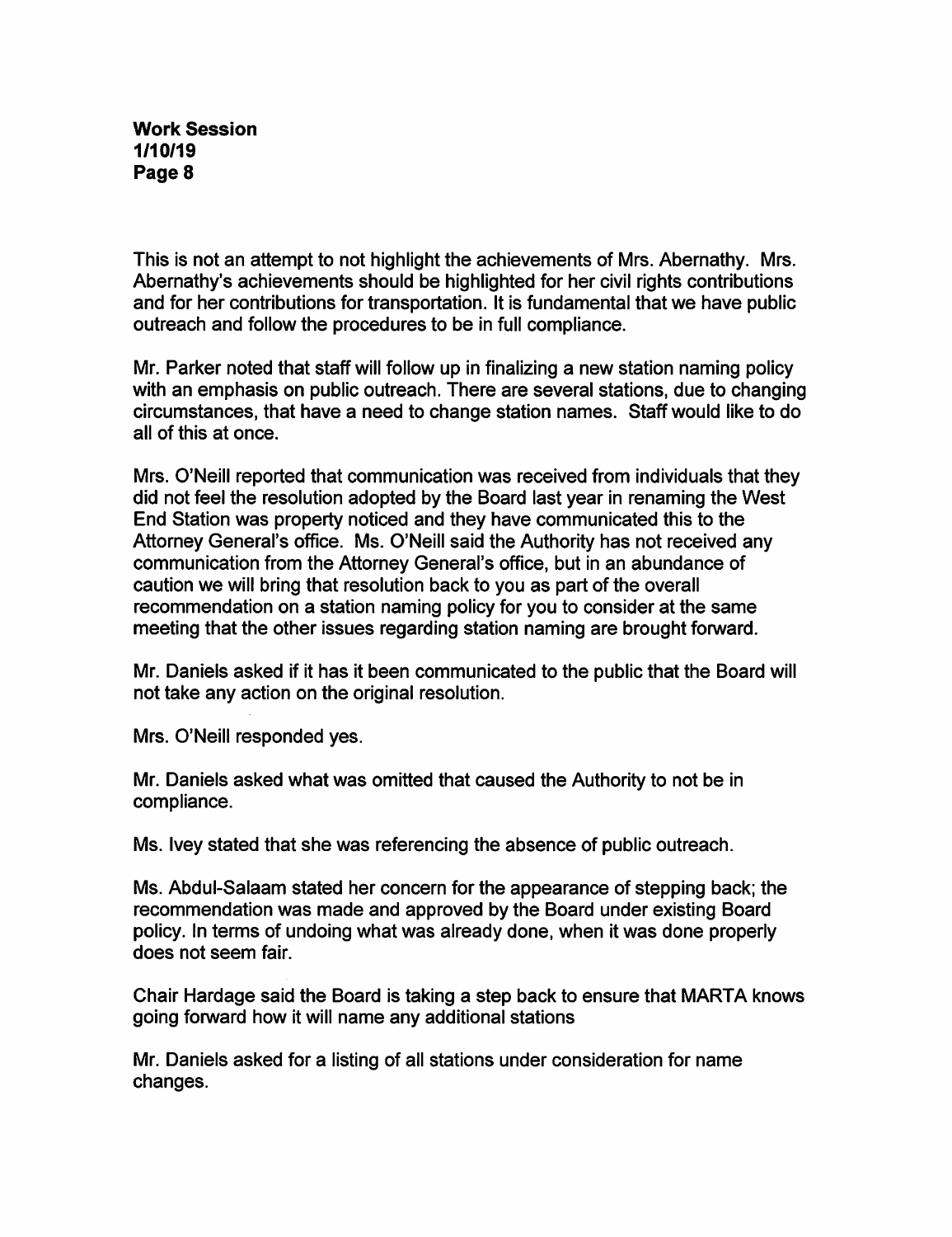This is not an attempt to not highlight the achievements of Mrs. Abernathy. Mrs. Abernathy's achievements should be highlighted for her civil rights contributions and for her contributions for transportation. It is fundamental that we have public outreach and follow the procedures to be in full compliance.

Mr. Parker noted that staff will follow up in finalizing a new station naming policy with an emphasis on public outreach. There are several stations, due to changing circumstances, that have a need to change station names. Staff would like to do all of this at once.

Mrs. O'Neill reported that communication was received from individuals that they did not feel the resolution adopted by the Board last year in renaming the West End Station was property noticed and they have communicated this to the Attorney General's office. Ms. O'Neill said the Authority has not received any communication from the Attorney General's office, but in an abundance of caution we will bring that resolution back to you as part of the overall recommendation on a station naming policy for you to consider at the same meeting that the other issues regarding station naming are brought forward.

Mr. Daniels asked if it has it been communicated to the public that the Board will not take any action on the original resolution.

Mrs. O'Neill responded yes.

Mr. Daniels asked what was omitted that caused the Authority to not be in compliance.

Ms. Ivey stated that she was referencing the absence of public outreach.

Ms. Abdul-Salaam stated her concern for the appearance of stepping back; the recommendation was made and approved by the Board under existing Board policy. In terms of undoing what was already done, when it was done properly does not seem fair.

Chair Hardage said the Board is taking a step back to ensure that MARTA knows going forward how it will name any additional stations

Mr. Daniels asked for a listing of all stations under consideration for name changes.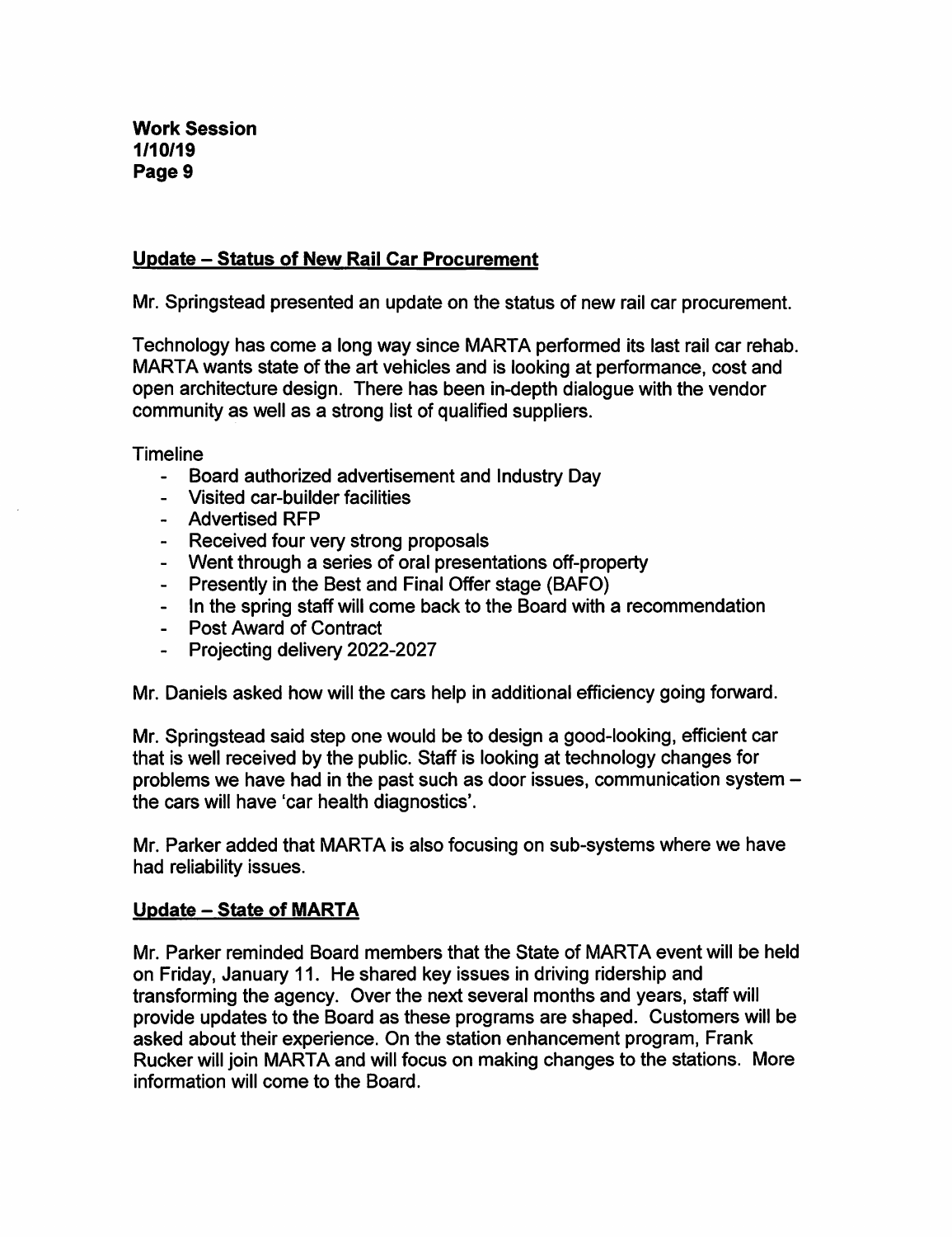# Update - Status of New Rail Car Procurement

Mr. Springstead presented an update on the status of new rail car procurement.

Technology has come a long way since MARIA performed its last rail car rehab. MARIA wants state of the art vehicles and is looking at performance, cost and open architecture design. There has been in-depth dialogue with the vendor community as well as a strong list of qualified suppliers.

Timeline

- Board authorized advertisement and Industry Day
- Visited car-builder facilities
- Advertised RFP
- Received four very strong proposals
- Went through a series of oral presentations off-property
- Presently in the Best and Final Offer stage (BAFO)
- In the spring staff will come back to the Board with a recommendation
- Post Award of Contract
- Projecting delivery 2022-2027

Mr. Daniels asked how will the cars help in additional efficiency going forward.

Mr. Springstead said step one would be to design a good-looking, efficient car that is well received by the public. Staff is looking at technology changes for problems we have had in the past such as door issues, communication system the cars will have 'car health diagnostics'.

Mr. Parker added that MARTA is also focusing on sub-systems where we have had reliability issues.

# Update - State of MARIA

Mr. Parker reminded Board members that the State of MARIA event will be held on Friday, January 11. He shared key issues in driving ridership and transforming the agency. Over the next several months and years, staff will provide updates to the Board as these programs are shaped. Customers will be asked about their experience. On the station enhancement program, Frank Rucker will join MARIA and will focus on making changes to the stations. More information will come to the Board.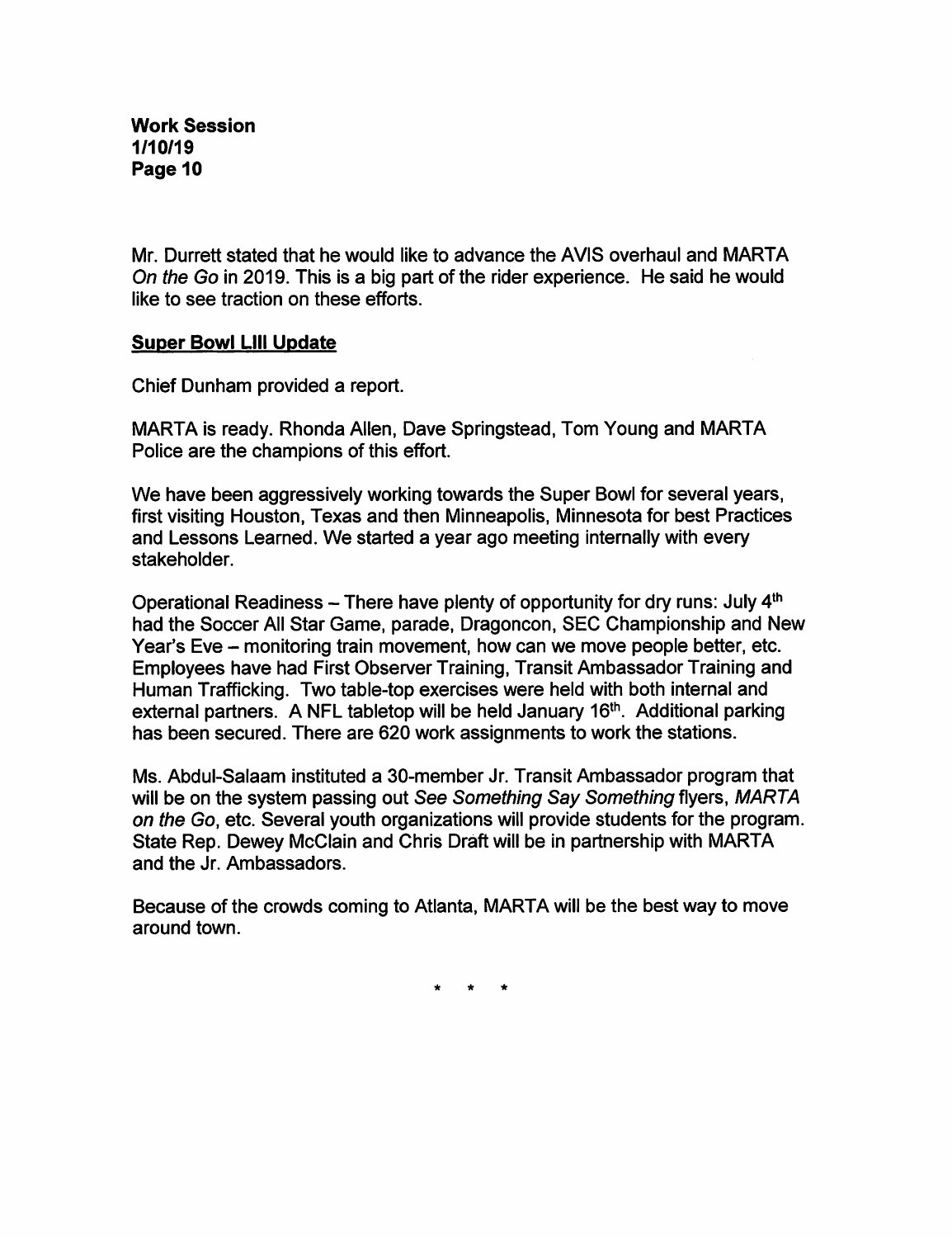Mr. Durrett stated that he would like to advance the AVIS overhaul and MARTA On the Go in 2019. This is a big part of the rider experience. He said he would like to see traction on these efforts.

# Super Bowl Llll Update

Chief Dunham provided a report.

MARTA is ready. Rhonda Allen, Dave Springstead, Tom Young and MARTA Police are the champions of this effort.

We have been aggressively working towards the Super Bowl for several years, first visiting Houston, Texas and then Minneapolis, Minnesota for best Practices and Lessons Learned. We started a year ago meeting internally with every stakeholder.

Operational Readiness  $-$  There have plenty of opportunity for dry runs: July  $4^{\text{th}}$ had the Soccer All Star Game, parade, Dragoncon, SEC Championship and New Year's Eve - monitoring train movement, how can we move people better, etc. Employees have had First Observer Training, Transit Ambassador Training and Human Trafficking. Two table-top exercises were held with both internal and external partners. A NFL tabletop will be held January 16<sup>th</sup>. Additional parking has been secured. There are 620 work assignments to work the stations.

Ms. Abdul-Salaam instituted a 30-member Jr. Transit Ambassador program that will be on the system passing out See Something Say Something flyers, MARTA on the Go, etc. Several youth organizations will provide students for the program. State Rep. Dewey McClain and Chris Draft will be in partnership with MARTA and the Jr. Ambassadors.

Because of the crowds coming to Atlanta, MARTA will be the best way to move around town.

 $\star$   $\star$